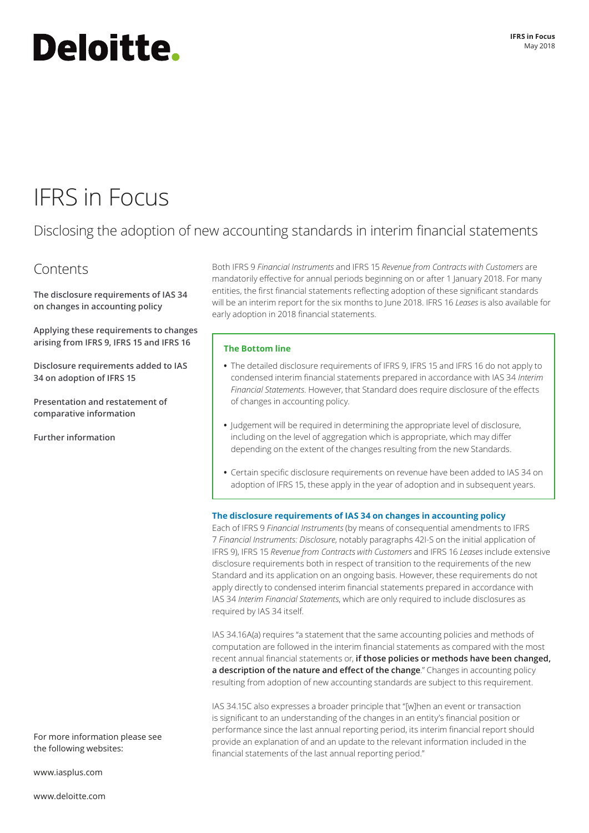# Deloitte.

## IFRS in Focus

### Disclosing the adoption of new accounting standards in interim financial statements

### Contents

**The disclosure requirements of IAS 34 on changes in accounting policy** 

**[Applying these requirements to changes](#page-1-0)  [arising from IFRS 9, IFRS 15 and IFRS 16](#page-1-0)**

**[Disclosure requirements added to IAS](#page-2-0)  [34 on adoption of IFRS 15](#page-2-0)**

**[Presentation and restatement of](#page-3-0)  [comparative information](#page-3-0)**

**[Further information](#page-3-0)**

Both IFRS 9 *Financial Instruments* and IFRS 15 *Revenue from Contracts with Customers* are mandatorily effective for annual periods beginning on or after 1 January 2018. For many entities, the first financial statements reflecting adoption of these significant standards will be an interim report for the six months to June 2018. IFRS 16 *Leases* is also available for early adoption in 2018 financial statements.

#### **The Bottom line**

- **•** The detailed disclosure requirements of IFRS 9, IFRS 15 and IFRS 16 do not apply to condensed interim financial statements prepared in accordance with IAS 34 *Interim Financial Statements*. However, that Standard does require disclosure of the effects of changes in accounting policy.
- **•** Judgement will be required in determining the appropriate level of disclosure, including on the level of aggregation which is appropriate, which may differ depending on the extent of the changes resulting from the new Standards.
- **•** Certain specific disclosure requirements on revenue have been added to IAS 34 on adoption of IFRS 15, these apply in the year of adoption and in subsequent years.

#### **The disclosure requirements of IAS 34 on changes in accounting policy**

Each of IFRS 9 *Financial Instruments* (by means of consequential amendments to IFRS 7 *Financial Instruments: Disclosure*, notably paragraphs 42I-S on the initial application of IFRS 9), IFRS 15 *Revenue from Contracts with Customers* and IFRS 16 *Leases* include extensive disclosure requirements both in respect of transition to the requirements of the new Standard and its application on an ongoing basis. However, these requirements do not apply directly to condensed interim financial statements prepared in accordance with IAS 34 *Interim Financial Statements*, which are only required to include disclosures as required by IAS 34 itself.

IAS 34.16A(a) requires "a statement that the same accounting policies and methods of computation are followed in the interim financial statements as compared with the most recent annual financial statements or, **if those policies or methods have been changed, a description of the nature and effect of the change**." Changes in accounting policy resulting from adoption of new accounting standards are subject to this requirement.

IAS 34.15C also expresses a broader principle that "[w]hen an event or transaction is significant to an understanding of the changes in an entity's financial position or performance since the last annual reporting period, its interim financial report should provide an explanation of and an update to the relevant information included in the financial statements of the last annual reporting period."

the following websites:

For more information please see

[www.iasplus.com](http://www.iasplus.com)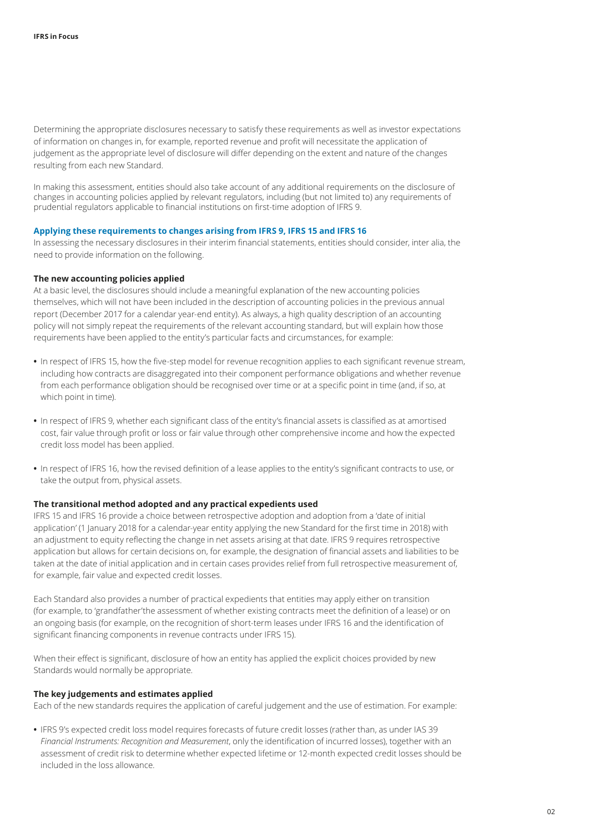<span id="page-1-0"></span>Determining the appropriate disclosures necessary to satisfy these requirements as well as investor expectations of information on changes in, for example, reported revenue and profit will necessitate the application of judgement as the appropriate level of disclosure will differ depending on the extent and nature of the changes resulting from each new Standard.

In making this assessment, entities should also take account of any additional requirements on the disclosure of changes in accounting policies applied by relevant regulators, including (but not limited to) any requirements of prudential regulators applicable to financial institutions on first-time adoption of IFRS 9.

#### **Applying these requirements to changes arising from IFRS 9, IFRS 15 and IFRS 16**

In assessing the necessary disclosures in their interim financial statements, entities should consider, inter alia, the need to provide information on the following.

#### **The new accounting policies applied**

At a basic level, the disclosures should include a meaningful explanation of the new accounting policies themselves, which will not have been included in the description of accounting policies in the previous annual report (December 2017 for a calendar year-end entity). As always, a high quality description of an accounting policy will not simply repeat the requirements of the relevant accounting standard, but will explain how those requirements have been applied to the entity's particular facts and circumstances, for example:

- **•** In respect of IFRS 15, how the five-step model for revenue recognition applies to each significant revenue stream, including how contracts are disaggregated into their component performance obligations and whether revenue from each performance obligation should be recognised over time or at a specific point in time (and, if so, at which point in time).
- **•** In respect of IFRS 9, whether each significant class of the entity's financial assets is classified as at amortised cost, fair value through profit or loss or fair value through other comprehensive income and how the expected credit loss model has been applied.
- **•** In respect of IFRS 16, how the revised definition of a lease applies to the entity's significant contracts to use, or take the output from, physical assets.

#### **The transitional method adopted and any practical expedients used**

IFRS 15 and IFRS 16 provide a choice between retrospective adoption and adoption from a 'date of initial application' (1 January 2018 for a calendar-year entity applying the new Standard for the first time in 2018) with an adjustment to equity reflecting the change in net assets arising at that date. IFRS 9 requires retrospective application but allows for certain decisions on, for example, the designation of financial assets and liabilities to be taken at the date of initial application and in certain cases provides relief from full retrospective measurement of, for example, fair value and expected credit losses.

Each Standard also provides a number of practical expedients that entities may apply either on transition (for example, to 'grandfather'the assessment of whether existing contracts meet the definition of a lease) or on an ongoing basis (for example, on the recognition of short-term leases under IFRS 16 and the identification of significant financing components in revenue contracts under IFRS 15).

When their effect is significant, disclosure of how an entity has applied the explicit choices provided by new Standards would normally be appropriate.

#### **The key judgements and estimates applied**

Each of the new standards requires the application of careful judgement and the use of estimation. For example:

**•** IFRS 9's expected credit loss model requires forecasts of future credit losses (rather than, as under IAS 39 *Financial Instruments: Recognition and Measurement*, only the identification of incurred losses), together with an assessment of credit risk to determine whether expected lifetime or 12-month expected credit losses should be included in the loss allowance.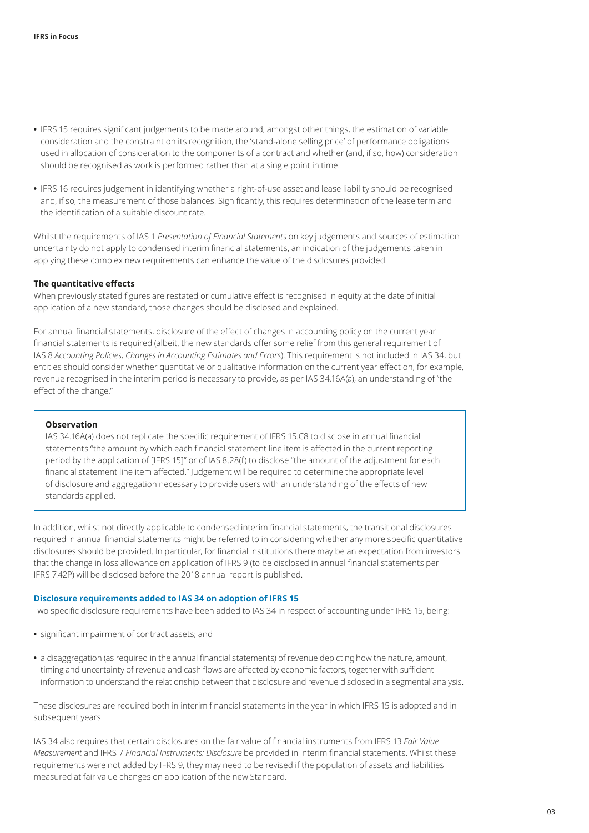- <span id="page-2-0"></span>**•** IFRS 15 requires significant judgements to be made around, amongst other things, the estimation of variable consideration and the constraint on its recognition, the 'stand-alone selling price' of performance obligations used in allocation of consideration to the components of a contract and whether (and, if so, how) consideration should be recognised as work is performed rather than at a single point in time.
- **•** IFRS 16 requires judgement in identifying whether a right-of-use asset and lease liability should be recognised and, if so, the measurement of those balances. Significantly, this requires determination of the lease term and the identification of a suitable discount rate.

Whilst the requirements of IAS 1 *Presentation of Financial Statements* on key judgements and sources of estimation uncertainty do not apply to condensed interim financial statements, an indication of the judgements taken in applying these complex new requirements can enhance the value of the disclosures provided.

#### **The quantitative effects**

When previously stated figures are restated or cumulative effect is recognised in equity at the date of initial application of a new standard, those changes should be disclosed and explained.

For annual financial statements, disclosure of the effect of changes in accounting policy on the current year financial statements is required (albeit, the new standards offer some relief from this general requirement of IAS 8 *Accounting Policies, Changes in Accounting Estimates and Errors*). This requirement is not included in IAS 34, but entities should consider whether quantitative or qualitative information on the current year effect on, for example, revenue recognised in the interim period is necessary to provide, as per IAS 34.16A(a), an understanding of "the effect of the change."

#### **Observation**

IAS 34.16A(a) does not replicate the specific requirement of IFRS 15.C8 to disclose in annual financial statements "the amount by which each financial statement line item is affected in the current reporting period by the application of [IFRS 15]" or of IAS 8.28(f) to disclose "the amount of the adjustment for each financial statement line item affected." Judgement will be required to determine the appropriate level of disclosure and aggregation necessary to provide users with an understanding of the effects of new standards applied.

In addition, whilst not directly applicable to condensed interim financial statements, the transitional disclosures required in annual financial statements might be referred to in considering whether any more specific quantitative disclosures should be provided. In particular, for financial institutions there may be an expectation from investors that the change in loss allowance on application of IFRS 9 (to be disclosed in annual financial statements per IFRS 7.42P) will be disclosed before the 2018 annual report is published.

#### **Disclosure requirements added to IAS 34 on adoption of IFRS 15**

Two specific disclosure requirements have been added to IAS 34 in respect of accounting under IFRS 15, being:

- **•** significant impairment of contract assets; and
- **•** a disaggregation (as required in the annual financial statements) of revenue depicting how the nature, amount, timing and uncertainty of revenue and cash flows are affected by economic factors, together with sufficient information to understand the relationship between that disclosure and revenue disclosed in a segmental analysis.

These disclosures are required both in interim financial statements in the year in which IFRS 15 is adopted and in subsequent years.

IAS 34 also requires that certain disclosures on the fair value of financial instruments from IFRS 13 *Fair Value Measurement* and IFRS 7 *Financial Instruments: Disclosure* be provided in interim financial statements. Whilst these requirements were not added by IFRS 9, they may need to be revised if the population of assets and liabilities measured at fair value changes on application of the new Standard.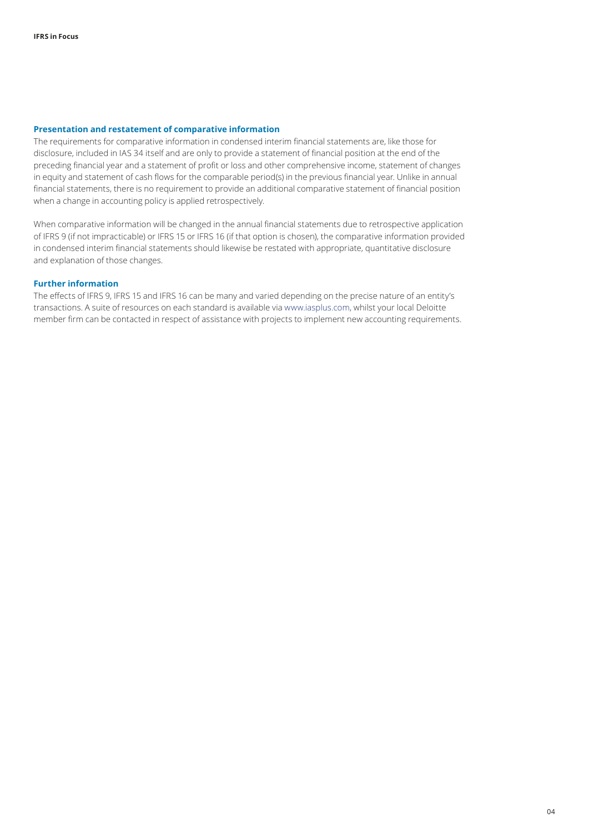#### <span id="page-3-0"></span>**Presentation and restatement of comparative information**

The requirements for comparative information in condensed interim financial statements are, like those for disclosure, included in IAS 34 itself and are only to provide a statement of financial position at the end of the preceding financial year and a statement of profit or loss and other comprehensive income, statement of changes in equity and statement of cash flows for the comparable period(s) in the previous financial year. Unlike in annual financial statements, there is no requirement to provide an additional comparative statement of financial position when a change in accounting policy is applied retrospectively.

When comparative information will be changed in the annual financial statements due to retrospective application of IFRS 9 (if not impracticable) or IFRS 15 or IFRS 16 (if that option is chosen), the comparative information provided in condensed interim financial statements should likewise be restated with appropriate, quantitative disclosure and explanation of those changes.

#### **Further information**

The effects of IFRS 9, IFRS 15 and IFRS 16 can be many and varied depending on the precise nature of an entity's transactions. A suite of resources on each standard is available via [www.iasplus.com](http://www.iasplus.com), whilst your local Deloitte member firm can be contacted in respect of assistance with projects to implement new accounting requirements.